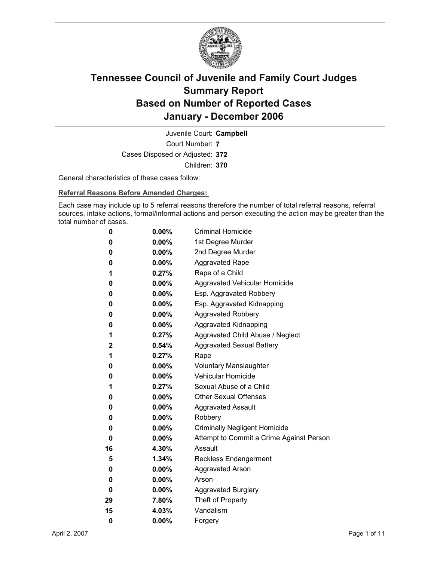

Court Number: **7** Juvenile Court: **Campbell** Cases Disposed or Adjusted: **372** Children: **370**

General characteristics of these cases follow:

**Referral Reasons Before Amended Charges:** 

Each case may include up to 5 referral reasons therefore the number of total referral reasons, referral sources, intake actions, formal/informal actions and person executing the action may be greater than the total number of cases.

| 0  | $0.00\%$ | <b>Criminal Homicide</b>                 |
|----|----------|------------------------------------------|
| 0  | $0.00\%$ | 1st Degree Murder                        |
| 0  | $0.00\%$ | 2nd Degree Murder                        |
| 0  | $0.00\%$ | <b>Aggravated Rape</b>                   |
| 1  | 0.27%    | Rape of a Child                          |
| 0  | $0.00\%$ | Aggravated Vehicular Homicide            |
| 0  | $0.00\%$ | Esp. Aggravated Robbery                  |
| 0  | $0.00\%$ | Esp. Aggravated Kidnapping               |
| 0  | $0.00\%$ | <b>Aggravated Robbery</b>                |
| 0  | $0.00\%$ | <b>Aggravated Kidnapping</b>             |
| 1  | $0.27\%$ | Aggravated Child Abuse / Neglect         |
| 2  | $0.54\%$ | <b>Aggravated Sexual Battery</b>         |
| 1  | $0.27\%$ | Rape                                     |
| 0  | $0.00\%$ | <b>Voluntary Manslaughter</b>            |
| 0  | $0.00\%$ | <b>Vehicular Homicide</b>                |
| 1  | 0.27%    | Sexual Abuse of a Child                  |
| 0  | $0.00\%$ | <b>Other Sexual Offenses</b>             |
| 0  | $0.00\%$ | <b>Aggravated Assault</b>                |
| 0  | $0.00\%$ | Robbery                                  |
| 0  | $0.00\%$ | <b>Criminally Negligent Homicide</b>     |
| 0  | $0.00\%$ | Attempt to Commit a Crime Against Person |
| 16 | 4.30%    | Assault                                  |
| 5  | 1.34%    | <b>Reckless Endangerment</b>             |
| 0  | $0.00\%$ | <b>Aggravated Arson</b>                  |
| 0  | $0.00\%$ | Arson                                    |
| 0  | $0.00\%$ | <b>Aggravated Burglary</b>               |
| 29 | 7.80%    | Theft of Property                        |
| 15 | 4.03%    | Vandalism                                |
| 0  | 0.00%    | Forgery                                  |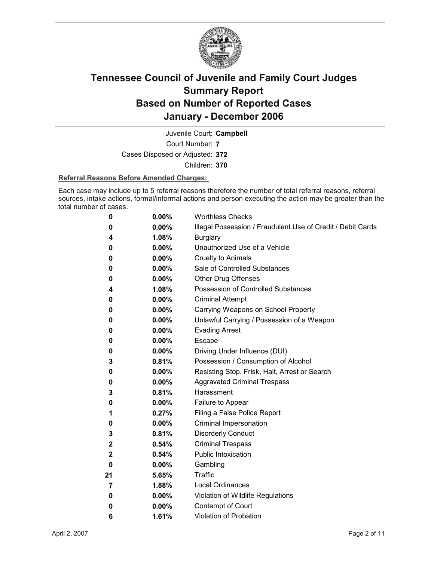

Juvenile Court: **Campbell**

Court Number: **7**

Cases Disposed or Adjusted: **372**

Children: **370**

#### **Referral Reasons Before Amended Charges:**

Each case may include up to 5 referral reasons therefore the number of total referral reasons, referral sources, intake actions, formal/informal actions and person executing the action may be greater than the total number of cases.

| 0            | 0.00%    | <b>Worthless Checks</b>                                     |
|--------------|----------|-------------------------------------------------------------|
| 0            | $0.00\%$ | Illegal Possession / Fraudulent Use of Credit / Debit Cards |
| 4            | 1.08%    | <b>Burglary</b>                                             |
| 0            | $0.00\%$ | Unauthorized Use of a Vehicle                               |
| 0            | $0.00\%$ | <b>Cruelty to Animals</b>                                   |
| 0            | $0.00\%$ | Sale of Controlled Substances                               |
| 0            | $0.00\%$ | <b>Other Drug Offenses</b>                                  |
| 4            | 1.08%    | Possession of Controlled Substances                         |
| 0            | $0.00\%$ | <b>Criminal Attempt</b>                                     |
| 0            | $0.00\%$ | Carrying Weapons on School Property                         |
| 0            | $0.00\%$ | Unlawful Carrying / Possession of a Weapon                  |
| 0            | $0.00\%$ | <b>Evading Arrest</b>                                       |
| 0            | $0.00\%$ | Escape                                                      |
| 0            | $0.00\%$ | Driving Under Influence (DUI)                               |
| 3            | 0.81%    | Possession / Consumption of Alcohol                         |
| 0            | $0.00\%$ | Resisting Stop, Frisk, Halt, Arrest or Search               |
| 0            | $0.00\%$ | <b>Aggravated Criminal Trespass</b>                         |
| 3            | 0.81%    | Harassment                                                  |
| 0            | $0.00\%$ | Failure to Appear                                           |
| 1            | 0.27%    | Filing a False Police Report                                |
| 0            | $0.00\%$ | Criminal Impersonation                                      |
| 3            | 0.81%    | <b>Disorderly Conduct</b>                                   |
| $\mathbf 2$  | 0.54%    | <b>Criminal Trespass</b>                                    |
| $\mathbf{2}$ | 0.54%    | <b>Public Intoxication</b>                                  |
| 0            | $0.00\%$ | Gambling                                                    |
| 21           | 5.65%    | <b>Traffic</b>                                              |
| 7            | 1.88%    | <b>Local Ordinances</b>                                     |
| 0            | $0.00\%$ | Violation of Wildlife Regulations                           |
| 0            | $0.00\%$ | Contempt of Court                                           |
| 6            | 1.61%    | <b>Violation of Probation</b>                               |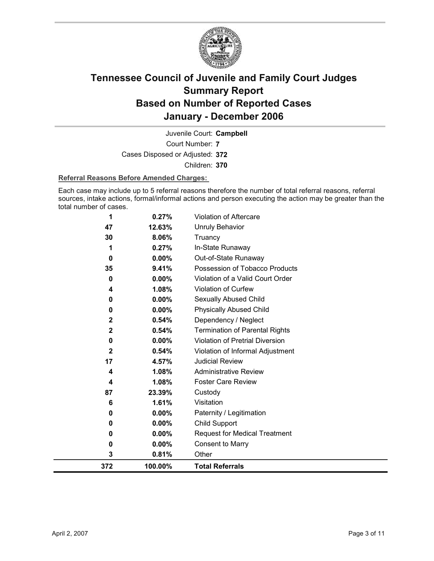

Court Number: **7** Juvenile Court: **Campbell** Cases Disposed or Adjusted: **372** Children: **370**

#### **Referral Reasons Before Amended Charges:**

Each case may include up to 5 referral reasons therefore the number of total referral reasons, referral sources, intake actions, formal/informal actions and person executing the action may be greater than the total number of cases.

| 3            | 0.81%                                                                                  | Other                                                                                                              |
|--------------|----------------------------------------------------------------------------------------|--------------------------------------------------------------------------------------------------------------------|
|              |                                                                                        |                                                                                                                    |
| 0            | 0.00%                                                                                  | <b>Consent to Marry</b>                                                                                            |
| 0            | 0.00%                                                                                  | <b>Request for Medical Treatment</b>                                                                               |
| 0            | 0.00%                                                                                  | Child Support                                                                                                      |
| 0            | 0.00%                                                                                  | Paternity / Legitimation                                                                                           |
| 6            | 1.61%                                                                                  | Visitation                                                                                                         |
| 87           | 23.39%                                                                                 | Custody                                                                                                            |
| 4            | 1.08%                                                                                  | <b>Foster Care Review</b>                                                                                          |
| 4            | 1.08%                                                                                  | <b>Administrative Review</b>                                                                                       |
| 17           | 4.57%                                                                                  | <b>Judicial Review</b>                                                                                             |
| $\mathbf{2}$ | 0.54%                                                                                  | Violation of Informal Adjustment                                                                                   |
| 0            |                                                                                        | Violation of Pretrial Diversion                                                                                    |
| $\mathbf{2}$ |                                                                                        | <b>Termination of Parental Rights</b>                                                                              |
|              |                                                                                        | Dependency / Neglect                                                                                               |
|              |                                                                                        | <b>Physically Abused Child</b>                                                                                     |
|              |                                                                                        | Sexually Abused Child                                                                                              |
|              |                                                                                        | Violation of Curfew                                                                                                |
|              |                                                                                        | Violation of a Valid Court Order                                                                                   |
|              |                                                                                        | Possession of Tobacco Products                                                                                     |
|              |                                                                                        | Out-of-State Runaway                                                                                               |
|              |                                                                                        | Truancy<br>In-State Runaway                                                                                        |
|              |                                                                                        | <b>Unruly Behavior</b>                                                                                             |
|              |                                                                                        | <b>Violation of Aftercare</b>                                                                                      |
|              | 1<br>47<br>30<br>1<br>$\bf{0}$<br>35<br>$\bf{0}$<br>4<br>0<br>$\bf{0}$<br>$\mathbf{2}$ | 0.27%<br>12.63%<br>8.06%<br>0.27%<br>0.00%<br>9.41%<br>0.00%<br>1.08%<br>0.00%<br>0.00%<br>0.54%<br>0.54%<br>0.00% |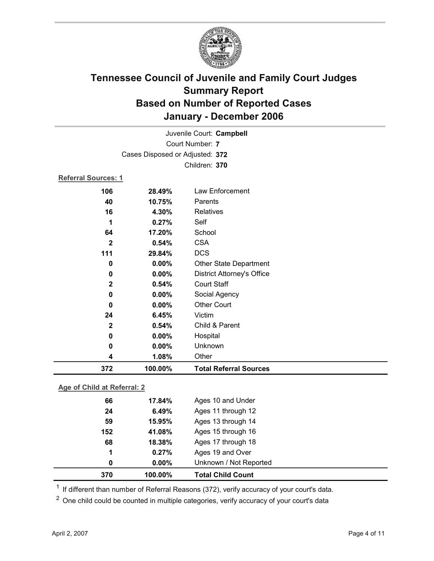

| 372                        | 100.00%                         | <b>Total Referral Sources</b>     |
|----------------------------|---------------------------------|-----------------------------------|
| 4                          | 1.08%                           | Other                             |
| 0                          | 0.00%                           | Unknown                           |
| 0                          | 0.00%                           | Hospital                          |
| $\mathbf 2$                | 0.54%                           | Child & Parent                    |
| 24                         | 6.45%                           | Victim                            |
| 0                          | 0.00%                           | <b>Other Court</b>                |
| 0                          | 0.00%                           | Social Agency                     |
| $\mathbf 2$                | 0.54%                           | <b>Court Staff</b>                |
| 0                          | 0.00%                           | <b>District Attorney's Office</b> |
| 0                          | 0.00%                           | Other State Department            |
| 111                        | 29.84%                          | <b>DCS</b>                        |
| $\mathbf{2}$               | 0.54%                           | <b>CSA</b>                        |
| 64                         | 17.20%                          | School                            |
| 1                          | 0.27%                           | Self                              |
| 16                         | 4.30%                           | Relatives                         |
| 40                         | 10.75%                          | Parents                           |
| 106                        | 28.49%                          | Law Enforcement                   |
| <b>Referral Sources: 1</b> |                                 |                                   |
|                            |                                 | Children: 370                     |
|                            | Cases Disposed or Adjusted: 372 |                                   |
|                            |                                 | Court Number: 7                   |
|                            |                                 | Juvenile Court: Campbell          |
|                            |                                 |                                   |

#### **Age of Child at Referral: 2**

| 370 | 100.00%  | <b>Total Child Count</b> |  |
|-----|----------|--------------------------|--|
| 0   | $0.00\%$ | Unknown / Not Reported   |  |
| 1   | 0.27%    | Ages 19 and Over         |  |
| 68  | 18.38%   | Ages 17 through 18       |  |
| 152 | 41.08%   | Ages 15 through 16       |  |
| 59  | 15.95%   | Ages 13 through 14       |  |
| 24  | 6.49%    | Ages 11 through 12       |  |
| 66  | 17.84%   | Ages 10 and Under        |  |
|     |          |                          |  |

<sup>1</sup> If different than number of Referral Reasons (372), verify accuracy of your court's data.

<sup>2</sup> One child could be counted in multiple categories, verify accuracy of your court's data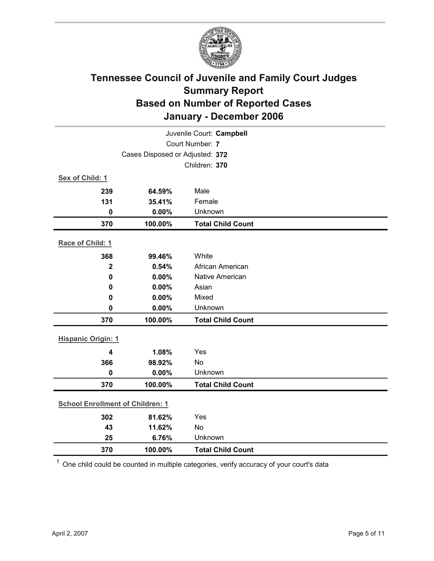

| Juvenile Court: Campbell                |         |                          |  |  |
|-----------------------------------------|---------|--------------------------|--|--|
| Court Number: 7                         |         |                          |  |  |
| Cases Disposed or Adjusted: 372         |         |                          |  |  |
|                                         |         | Children: 370            |  |  |
| Sex of Child: 1                         |         |                          |  |  |
| 239                                     | 64.59%  | Male                     |  |  |
| 131                                     | 35.41%  | Female                   |  |  |
| $\mathbf 0$                             | 0.00%   | Unknown                  |  |  |
| 370                                     | 100.00% | <b>Total Child Count</b> |  |  |
| Race of Child: 1                        |         |                          |  |  |
| 368                                     | 99.46%  | White                    |  |  |
| $\mathbf{2}$                            | 0.54%   | African American         |  |  |
| $\mathbf 0$                             | 0.00%   | <b>Native American</b>   |  |  |
| 0                                       | 0.00%   | Asian                    |  |  |
| 0                                       | 0.00%   | Mixed                    |  |  |
| $\mathbf 0$                             | 0.00%   | Unknown                  |  |  |
| 370                                     | 100.00% | <b>Total Child Count</b> |  |  |
| <b>Hispanic Origin: 1</b>               |         |                          |  |  |
| $\overline{\mathbf{4}}$                 | 1.08%   | Yes                      |  |  |
| 366                                     | 98.92%  | No                       |  |  |
| $\mathbf 0$                             | 0.00%   | Unknown                  |  |  |
| 370                                     | 100.00% | <b>Total Child Count</b> |  |  |
| <b>School Enrollment of Children: 1</b> |         |                          |  |  |
| 302                                     | 81.62%  | Yes                      |  |  |
| 43                                      | 11.62%  | <b>No</b>                |  |  |
| 25                                      | 6.76%   | Unknown                  |  |  |
| 370                                     | 100.00% | <b>Total Child Count</b> |  |  |

 $1$  One child could be counted in multiple categories, verify accuracy of your court's data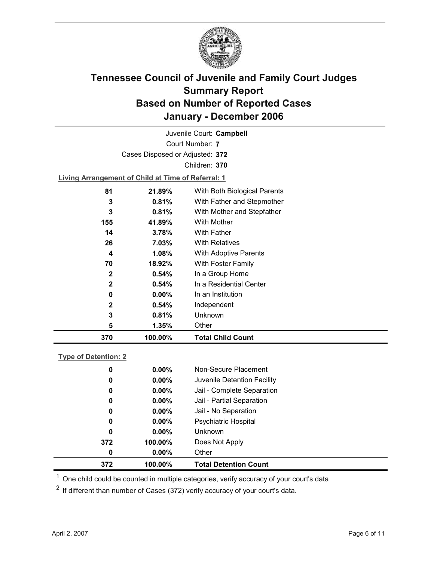

Court Number: **7** Juvenile Court: **Campbell** Cases Disposed or Adjusted: **372** Children: **370 Living Arrangement of Child at Time of Referral: 1 81 21.89%** With Both Biological Parents **3 0.81%** With Father and Stepmother **3 0.81%** With Mother and Stepfather **155 41.89%** With Mother **14 3.78%** With Father

| 370          | 100.00%      | <b>Total Child Count</b> |
|--------------|--------------|--------------------------|
| 5            | 1.35%        | Other                    |
| 3            | 0.81%        | Unknown                  |
| 2            | 0.54%        | Independent              |
| 0            | $0.00\%$     | In an Institution        |
| 2            | 0.54%        | In a Residential Center  |
| $\mathbf{2}$ | 0.54%        | In a Group Home          |
| 70           | 18.92%       | With Foster Family       |
| 4            | 1.08%        | With Adoptive Parents    |
| 26           | 7.03%        | <b>With Relatives</b>    |
| . .          | . <i>.</i> . |                          |

| <b>Type of Detention: 2</b> |  |  |
|-----------------------------|--|--|
|                             |  |  |

| 372 | 100.00%  | <b>Total Detention Count</b> |  |
|-----|----------|------------------------------|--|
| 0   | $0.00\%$ | Other                        |  |
| 372 | 100.00%  | Does Not Apply               |  |
| 0   | $0.00\%$ | <b>Unknown</b>               |  |
| 0   | $0.00\%$ | <b>Psychiatric Hospital</b>  |  |
| 0   | $0.00\%$ | Jail - No Separation         |  |
| 0   | $0.00\%$ | Jail - Partial Separation    |  |
| 0   | $0.00\%$ | Jail - Complete Separation   |  |
| 0   | $0.00\%$ | Juvenile Detention Facility  |  |
| 0   | $0.00\%$ | Non-Secure Placement         |  |
|     |          |                              |  |

 $<sup>1</sup>$  One child could be counted in multiple categories, verify accuracy of your court's data</sup>

 $2$  If different than number of Cases (372) verify accuracy of your court's data.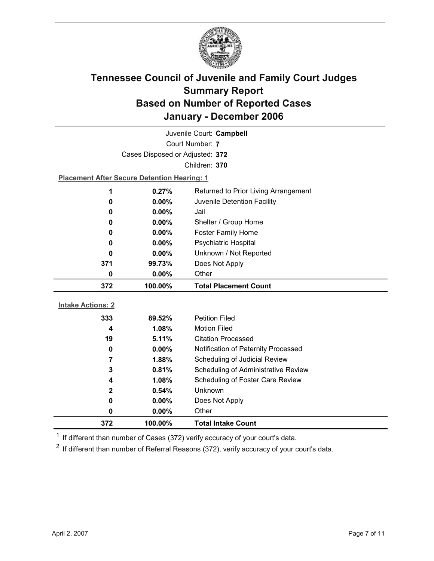

|                          |                                                    | Juvenile Court: Campbell                    |
|--------------------------|----------------------------------------------------|---------------------------------------------|
|                          |                                                    | Court Number: 7                             |
|                          | Cases Disposed or Adjusted: 372                    |                                             |
|                          |                                                    | Children: 370                               |
|                          | <b>Placement After Secure Detention Hearing: 1</b> |                                             |
| 1                        | 0.27%                                              | Returned to Prior Living Arrangement        |
| 0                        | $0.00\%$                                           | Juvenile Detention Facility                 |
| 0                        | $0.00\%$                                           | Jail                                        |
| 0                        | $0.00\%$                                           | Shelter / Group Home                        |
| 0                        | 0.00%                                              | <b>Foster Family Home</b>                   |
| 0                        | $0.00\%$                                           | <b>Psychiatric Hospital</b>                 |
| 0                        | 0.00%                                              | Unknown / Not Reported                      |
| 371                      | 99.73%                                             | Does Not Apply                              |
| 0                        | 0.00%                                              | Other                                       |
|                          |                                                    |                                             |
| 372                      | 100.00%                                            | <b>Total Placement Count</b>                |
|                          |                                                    |                                             |
| <b>Intake Actions: 2</b> |                                                    |                                             |
| 333                      | 89.52%                                             | <b>Petition Filed</b>                       |
| 4                        | 1.08%                                              | <b>Motion Filed</b>                         |
| 19                       | 5.11%                                              | <b>Citation Processed</b>                   |
| 0                        | $0.00\%$                                           | Notification of Paternity Processed         |
| 7                        | 1.88%                                              | Scheduling of Judicial Review               |
| 3<br>4                   | 0.81%<br>1.08%                                     | Scheduling of Administrative Review         |
| $\mathbf{2}$             | 0.54%                                              | Scheduling of Foster Care Review<br>Unknown |
| 0                        | 0.00%                                              | Does Not Apply                              |
| 0                        | 0.00%                                              | Other                                       |

 $1$  If different than number of Cases (372) verify accuracy of your court's data.

 $2$  If different than number of Referral Reasons (372), verify accuracy of your court's data.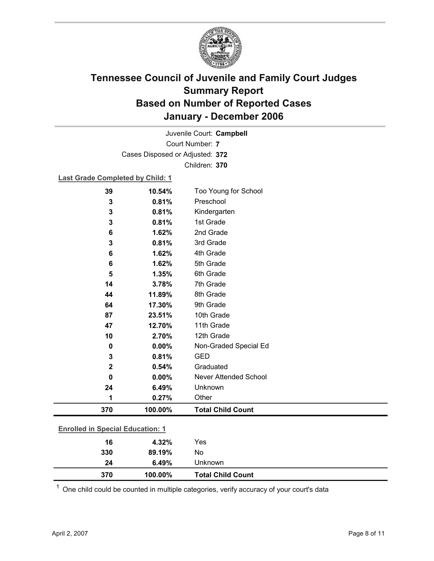

Court Number: **7** Juvenile Court: **Campbell** Cases Disposed or Adjusted: **372** Children: **370**

**Last Grade Completed by Child: 1**

| 10.54%  | Too Young for School                                       |           |
|---------|------------------------------------------------------------|-----------|
| 0.81%   | Preschool                                                  |           |
| 0.81%   | Kindergarten                                               |           |
| 0.81%   | 1st Grade                                                  |           |
| 1.62%   | 2nd Grade                                                  |           |
| 0.81%   | 3rd Grade                                                  |           |
| 1.62%   | 4th Grade                                                  |           |
| 1.62%   | 5th Grade                                                  |           |
| 1.35%   | 6th Grade                                                  |           |
| 3.78%   | 7th Grade                                                  |           |
| 11.89%  | 8th Grade                                                  |           |
| 17.30%  | 9th Grade                                                  |           |
| 23.51%  | 10th Grade                                                 |           |
| 12.70%  | 11th Grade                                                 |           |
| 2.70%   | 12th Grade                                                 |           |
| 0.00%   | Non-Graded Special Ed                                      |           |
| 0.81%   | <b>GED</b>                                                 |           |
| 0.54%   | Graduated                                                  |           |
| 0.00%   | <b>Never Attended School</b>                               |           |
| 6.49%   | Unknown                                                    |           |
| 0.27%   | Other                                                      |           |
| 100.00% | <b>Total Child Count</b>                                   |           |
|         |                                                            |           |
|         |                                                            |           |
|         |                                                            |           |
|         | <b>Enrolled in Special Education: 1</b><br>4.32%<br>89.19% | Yes<br>No |

 $1$  One child could be counted in multiple categories, verify accuracy of your court's data

**24 6.49%** Unknown

**370 100.00% Total Child Count**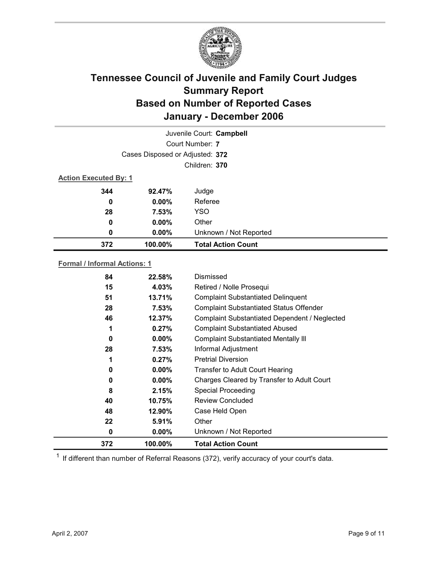

|                              |                                 | Juvenile Court: Campbell  |
|------------------------------|---------------------------------|---------------------------|
|                              |                                 | Court Number: 7           |
|                              | Cases Disposed or Adjusted: 372 |                           |
|                              |                                 | Children: 370             |
| <b>Action Executed By: 1</b> |                                 |                           |
| 344                          | 92.47%                          | Judge                     |
| 0                            | $0.00\%$                        | Referee                   |
| 28                           | 7.53%                           | <b>YSO</b>                |
| 0                            | $0.00\%$                        | Other                     |
| 0                            | $0.00\%$                        | Unknown / Not Reported    |
| 372                          | 100.00%                         | <b>Total Action Count</b> |

#### **Formal / Informal Actions: 1**

| 372 | 100.00%  | <b>Total Action Count</b>                      |
|-----|----------|------------------------------------------------|
| 0   | $0.00\%$ | Unknown / Not Reported                         |
| 22  | 5.91%    | Other                                          |
| 48  | 12.90%   | Case Held Open                                 |
| 40  | 10.75%   | <b>Review Concluded</b>                        |
| 8   | 2.15%    | <b>Special Proceeding</b>                      |
| 0   | $0.00\%$ | Charges Cleared by Transfer to Adult Court     |
| 0   | $0.00\%$ | <b>Transfer to Adult Court Hearing</b>         |
| 1   | 0.27%    | <b>Pretrial Diversion</b>                      |
| 28  | 7.53%    | Informal Adjustment                            |
| 0   | $0.00\%$ | <b>Complaint Substantiated Mentally III</b>    |
| 1   | 0.27%    | <b>Complaint Substantiated Abused</b>          |
| 46  | 12.37%   | Complaint Substantiated Dependent / Neglected  |
| 28  | 7.53%    | <b>Complaint Substantiated Status Offender</b> |
| 51  | 13.71%   | <b>Complaint Substantiated Delinquent</b>      |
| 15  | 4.03%    | Retired / Nolle Prosequi                       |
|     | 22.58%   | Dismissed                                      |
|     | 84       |                                                |

 $1$  If different than number of Referral Reasons (372), verify accuracy of your court's data.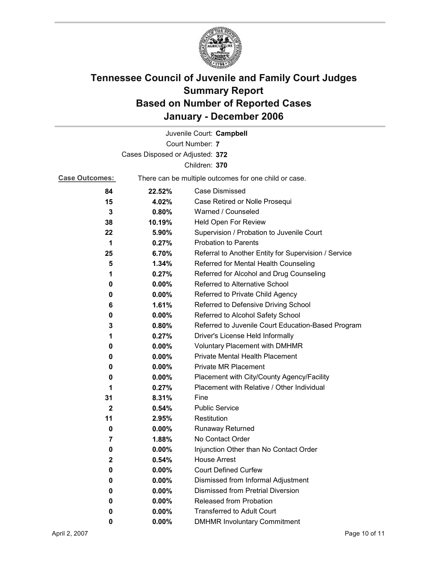

|                                 |                                                       | Juvenile Court: Campbell                             |  |  |
|---------------------------------|-------------------------------------------------------|------------------------------------------------------|--|--|
|                                 |                                                       | Court Number: 7                                      |  |  |
| Cases Disposed or Adjusted: 372 |                                                       |                                                      |  |  |
|                                 |                                                       | Children: 370                                        |  |  |
| <b>Case Outcomes:</b>           | There can be multiple outcomes for one child or case. |                                                      |  |  |
| 84                              | 22.52%                                                | <b>Case Dismissed</b>                                |  |  |
| 15                              | 4.02%                                                 | Case Retired or Nolle Prosequi                       |  |  |
| 3                               | 0.80%                                                 | Warned / Counseled                                   |  |  |
| 38                              | 10.19%                                                | Held Open For Review                                 |  |  |
| 22                              | $5.90\%$                                              | Supervision / Probation to Juvenile Court            |  |  |
| 1                               | 0.27%                                                 | <b>Probation to Parents</b>                          |  |  |
| 25                              | 6.70%                                                 | Referral to Another Entity for Supervision / Service |  |  |
| 5                               | 1.34%                                                 | Referred for Mental Health Counseling                |  |  |
| 1                               | 0.27%                                                 | Referred for Alcohol and Drug Counseling             |  |  |
| 0                               | 0.00%                                                 | Referred to Alternative School                       |  |  |
| 0                               | $0.00\%$                                              | Referred to Private Child Agency                     |  |  |
| 6                               | 1.61%                                                 | Referred to Defensive Driving School                 |  |  |
| 0                               | 0.00%                                                 | Referred to Alcohol Safety School                    |  |  |
| 3                               | 0.80%                                                 | Referred to Juvenile Court Education-Based Program   |  |  |
| 1                               | 0.27%                                                 | Driver's License Held Informally                     |  |  |
| 0                               | $0.00\%$                                              | <b>Voluntary Placement with DMHMR</b>                |  |  |
| 0                               | 0.00%                                                 | Private Mental Health Placement                      |  |  |
| 0                               | $0.00\%$                                              | <b>Private MR Placement</b>                          |  |  |
| 0                               | $0.00\%$                                              | Placement with City/County Agency/Facility           |  |  |
| 1                               | 0.27%                                                 | Placement with Relative / Other Individual           |  |  |
| 31                              | 8.31%                                                 | Fine                                                 |  |  |
| $\mathbf{2}$                    | 0.54%                                                 | <b>Public Service</b>                                |  |  |
| 11                              | 2.95%                                                 | Restitution                                          |  |  |
| 0                               | 0.00%                                                 | <b>Runaway Returned</b>                              |  |  |
| 7                               | 1.88%                                                 | No Contact Order                                     |  |  |
| 0                               | 0.00%                                                 | Injunction Other than No Contact Order               |  |  |
| 2                               | 0.54%                                                 | <b>House Arrest</b>                                  |  |  |
| 0                               | $0.00\%$                                              | <b>Court Defined Curfew</b>                          |  |  |
| 0                               | $0.00\%$                                              | Dismissed from Informal Adjustment                   |  |  |
| 0                               | $0.00\%$                                              | <b>Dismissed from Pretrial Diversion</b>             |  |  |
| 0                               | $0.00\%$                                              | Released from Probation                              |  |  |
| 0                               | $0.00\%$                                              | <b>Transferred to Adult Court</b>                    |  |  |
| 0                               | $0.00\%$                                              | <b>DMHMR Involuntary Commitment</b>                  |  |  |